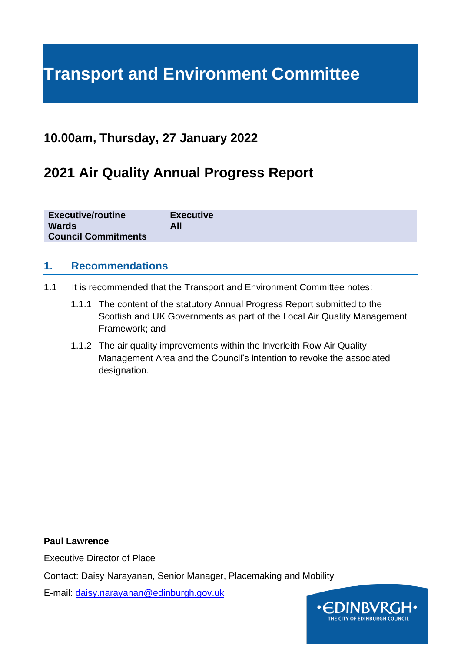# **Transport and Environment Committee**

### **10.00am, Thursday, 27 January 2022**

### **2021 Air Quality Annual Progress Report**

| <b>Executive/routine</b>   | <b>Executive</b> |
|----------------------------|------------------|
| <b>Wards</b>               | All              |
| <b>Council Commitments</b> |                  |

#### **1. Recommendations**

- 1.1 It is recommended that the Transport and Environment Committee notes:
	- 1.1.1 The content of the statutory Annual Progress Report submitted to the Scottish and UK Governments as part of the Local Air Quality Management Framework; and
	- 1.1.2 The air quality improvements within the Inverleith Row Air Quality Management Area and the Council's intention to revoke the associated designation.

**Paul Lawrence**

Executive Director of Place

Contact: Daisy Narayanan, Senior Manager, Placemaking and Mobility

E-mail: [daisy.narayanan@edinburgh.gov.uk](mailto:daisy.narayanan@edinburgh.gov.uk)

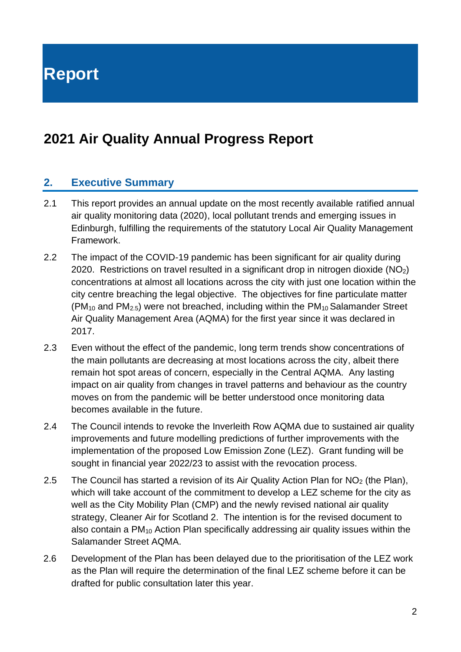**Report**

## **2021 Air Quality Annual Progress Report**

#### **2. Executive Summary**

- 2.1 This report provides an annual update on the most recently available ratified annual air quality monitoring data (2020), local pollutant trends and emerging issues in Edinburgh, fulfilling the requirements of the statutory Local Air Quality Management Framework.
- 2.2 The impact of the COVID-19 pandemic has been significant for air quality during 2020. Restrictions on travel resulted in a significant drop in nitrogen dioxide  $(NO<sub>2</sub>)$ concentrations at almost all locations across the city with just one location within the city centre breaching the legal objective. The objectives for fine particulate matter  $(PM_{10}$  and PM<sub>2.5</sub>) were not breached, including within the PM<sub>10</sub> Salamander Street Air Quality Management Area (AQMA) for the first year since it was declared in 2017.
- 2.3 Even without the effect of the pandemic, long term trends show concentrations of the main pollutants are decreasing at most locations across the city, albeit there remain hot spot areas of concern, especially in the Central AQMA. Any lasting impact on air quality from changes in travel patterns and behaviour as the country moves on from the pandemic will be better understood once monitoring data becomes available in the future.
- 2.4 The Council intends to revoke the Inverleith Row AQMA due to sustained air quality improvements and future modelling predictions of further improvements with the implementation of the proposed Low Emission Zone (LEZ). Grant funding will be sought in financial year 2022/23 to assist with the revocation process.
- 2.5 The Council has started a revision of its Air Quality Action Plan for  $NO<sub>2</sub>$  (the Plan), which will take account of the commitment to develop a LEZ scheme for the city as well as the City Mobility Plan (CMP) and the newly revised national air quality strategy, Cleaner Air for Scotland 2. The intention is for the revised document to also contain a PM<sup>10</sup> Action Plan specifically addressing air quality issues within the Salamander Street AQMA.
- 2.6 Development of the Plan has been delayed due to the prioritisation of the LEZ work as the Plan will require the determination of the final LEZ scheme before it can be drafted for public consultation later this year.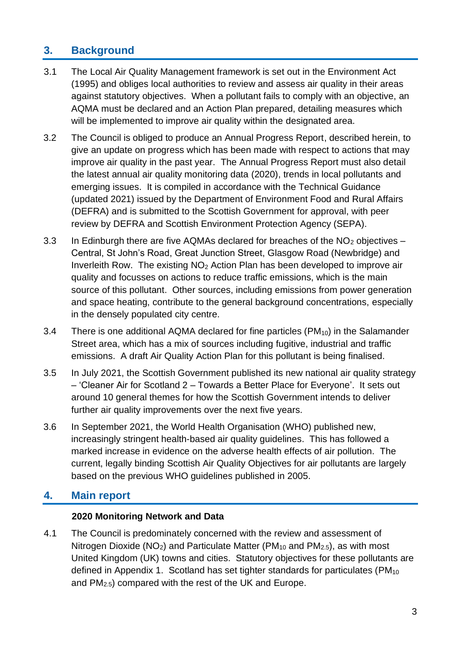### **3. Background**

- 3.1 The Local Air Quality Management framework is set out in the Environment Act (1995) and obliges local authorities to review and assess air quality in their areas against statutory objectives. When a pollutant fails to comply with an objective, an AQMA must be declared and an Action Plan prepared, detailing measures which will be implemented to improve air quality within the designated area.
- 3.2 The Council is obliged to produce an Annual Progress Report, described herein, to give an update on progress which has been made with respect to actions that may improve air quality in the past year. The Annual Progress Report must also detail the latest annual air quality monitoring data (2020), trends in local pollutants and emerging issues. It is compiled in accordance with the Technical Guidance (updated 2021) issued by the Department of Environment Food and Rural Affairs (DEFRA) and is submitted to the Scottish Government for approval, with peer review by DEFRA and Scottish Environment Protection Agency (SEPA).
- 3.3 In Edinburgh there are five AQMAs declared for breaches of the  $NO<sub>2</sub>$  objectives Central, St John's Road, Great Junction Street, Glasgow Road (Newbridge) and Inverleith Row. The existing NO<sup>2</sup> Action Plan has been developed to improve air quality and focusses on actions to reduce traffic emissions, which is the main source of this pollutant. Other sources, including emissions from power generation and space heating, contribute to the general background concentrations, especially in the densely populated city centre.
- 3.4 There is one additional AQMA declared for fine particles  $(PM_{10})$  in the Salamander Street area, which has a mix of sources including fugitive, industrial and traffic emissions. A draft Air Quality Action Plan for this pollutant is being finalised.
- 3.5 In July 2021, the Scottish Government published its new national air quality strategy – 'Cleaner Air for Scotland 2 – Towards a Better Place for Everyone'. It sets out around 10 general themes for how the Scottish Government intends to deliver further air quality improvements over the next five years.
- 3.6 In September 2021, the World Health Organisation (WHO) published new, increasingly stringent health-based air quality guidelines. This has followed a marked increase in evidence on the adverse health effects of air pollution. The current, legally binding Scottish Air Quality Objectives for air pollutants are largely based on the previous WHO guidelines published in 2005.

### **4. Main report**

#### **2020 Monitoring Network and Data**

4.1 The Council is predominately concerned with the review and assessment of Nitrogen Dioxide ( $NO<sub>2</sub>$ ) and Particulate Matter ( $PM<sub>10</sub>$  and  $PM<sub>2.5</sub>$ ), as with most United Kingdom (UK) towns and cities. Statutory objectives for these pollutants are defined in Appendix 1. Scotland has set tighter standards for particulates (PM<sub>10</sub>) and PM2.5) compared with the rest of the UK and Europe.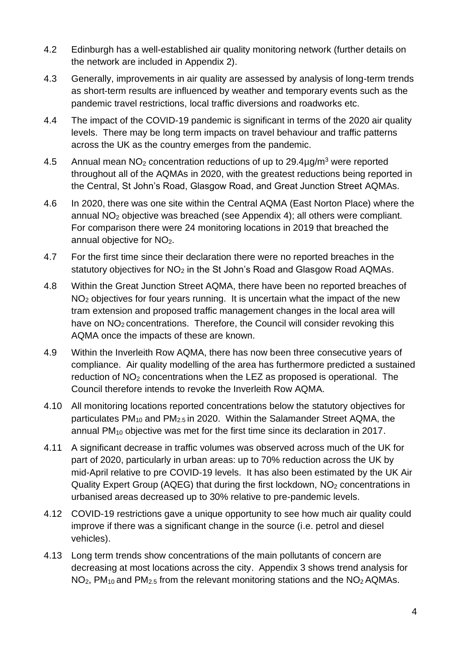- 4.2 Edinburgh has a well-established air quality monitoring network (further details on the network are included in Appendix 2).
- 4.3 Generally, improvements in air quality are assessed by analysis of long-term trends as short-term results are influenced by weather and temporary events such as the pandemic travel restrictions, local traffic diversions and roadworks etc.
- 4.4 The impact of the COVID-19 pandemic is significant in terms of the 2020 air quality levels. There may be long term impacts on travel behaviour and traffic patterns across the UK as the country emerges from the pandemic.
- 4.5 Annual mean  $NO<sub>2</sub>$  concentration reductions of up to  $29.4\mu q/m<sup>3</sup>$  were reported throughout all of the AQMAs in 2020, with the greatest reductions being reported in the Central, St John's Road, Glasgow Road, and Great Junction Street AQMAs.
- 4.6 In 2020, there was one site within the Central AQMA (East Norton Place) where the annual NO<sup>2</sup> objective was breached (see Appendix 4); all others were compliant. For comparison there were 24 monitoring locations in 2019 that breached the annual objective for NO<sub>2</sub>.
- 4.7 For the first time since their declaration there were no reported breaches in the statutory objectives for  $NO<sub>2</sub>$  in the St John's Road and Glasgow Road AQMAs.
- 4.8 Within the Great Junction Street AQMA, there have been no reported breaches of NO<sub>2</sub> objectives for four years running. It is uncertain what the impact of the new tram extension and proposed traffic management changes in the local area will have on NO<sub>2</sub> concentrations. Therefore, the Council will consider revoking this AQMA once the impacts of these are known.
- 4.9 Within the Inverleith Row AQMA, there has now been three consecutive years of compliance. Air quality modelling of the area has furthermore predicted a sustained reduction of  $NO<sub>2</sub>$  concentrations when the LEZ as proposed is operational. The Council therefore intends to revoke the Inverleith Row AQMA.
- 4.10 All monitoring locations reported concentrations below the statutory objectives for particulates  $PM_{10}$  and  $PM_{2.5}$  in 2020. Within the Salamander Street AQMA, the annual  $PM_{10}$  objective was met for the first time since its declaration in 2017.
- 4.11 A significant decrease in traffic volumes was observed across much of the UK for part of 2020, particularly in urban areas: up to 70% reduction across the UK by mid-April relative to pre COVID-19 levels. It has also been estimated by the UK Air Quality Expert Group (AQEG) that during the first lockdown,  $NO<sub>2</sub>$  concentrations in urbanised areas decreased up to 30% relative to pre-pandemic levels.
- 4.12 COVID-19 restrictions gave a unique opportunity to see how much air quality could improve if there was a significant change in the source (i.e. petrol and diesel vehicles).
- 4.13 Long term trends show concentrations of the main pollutants of concern are decreasing at most locations across the city. Appendix 3 shows trend analysis for  $NO<sub>2</sub>$ , PM<sub>10</sub> and PM<sub>2.5</sub> from the relevant monitoring stations and the  $NO<sub>2</sub> A QMAs$ .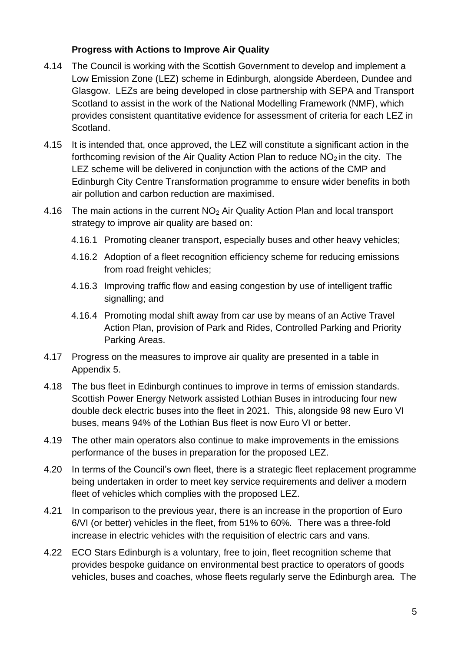#### **Progress with Actions to Improve Air Quality**

- 4.14 The Council is working with the Scottish Government to develop and implement a Low Emission Zone (LEZ) scheme in Edinburgh, alongside Aberdeen, Dundee and Glasgow. LEZs are being developed in close partnership with SEPA and Transport Scotland to assist in the work of the National Modelling Framework (NMF), which provides consistent quantitative evidence for assessment of criteria for each LEZ in Scotland.
- 4.15 It is intended that, once approved, the LEZ will constitute a significant action in the forthcoming revision of the Air Quality Action Plan to reduce  $NO<sub>2</sub>$  in the city. The LEZ scheme will be delivered in conjunction with the actions of the CMP and Edinburgh City Centre Transformation programme to ensure wider benefits in both air pollution and carbon reduction are maximised.
- 4.16 The main actions in the current NO<sup>2</sup> Air Quality Action Plan and local transport strategy to improve air quality are based on:
	- 4.16.1 Promoting cleaner transport, especially buses and other heavy vehicles;
	- 4.16.2 Adoption of a fleet recognition efficiency scheme for reducing emissions from road freight vehicles:
	- 4.16.3 Improving traffic flow and easing congestion by use of intelligent traffic signalling; and
	- 4.16.4 Promoting modal shift away from car use by means of an Active Travel Action Plan, provision of Park and Rides, Controlled Parking and Priority Parking Areas.
- 4.17 Progress on the measures to improve air quality are presented in a table in Appendix 5.
- 4.18 The bus fleet in Edinburgh continues to improve in terms of emission standards. Scottish Power Energy Network assisted Lothian Buses in introducing four new double deck electric buses into the fleet in 2021. This, alongside 98 new Euro VI buses, means 94% of the Lothian Bus fleet is now Euro VI or better.
- 4.19 The other main operators also continue to make improvements in the emissions performance of the buses in preparation for the proposed LEZ.
- 4.20 In terms of the Council's own fleet, there is a strategic fleet replacement programme being undertaken in order to meet key service requirements and deliver a modern fleet of vehicles which complies with the proposed LEZ.
- 4.21 In comparison to the previous year, there is an increase in the proportion of Euro 6/VI (or better) vehicles in the fleet, from 51% to 60%. There was a three-fold increase in electric vehicles with the requisition of electric cars and vans.
- 4.22 ECO Stars Edinburgh is a voluntary, free to join, fleet recognition scheme that provides bespoke guidance on environmental best practice to operators of goods vehicles, buses and coaches, whose fleets regularly serve the Edinburgh area. The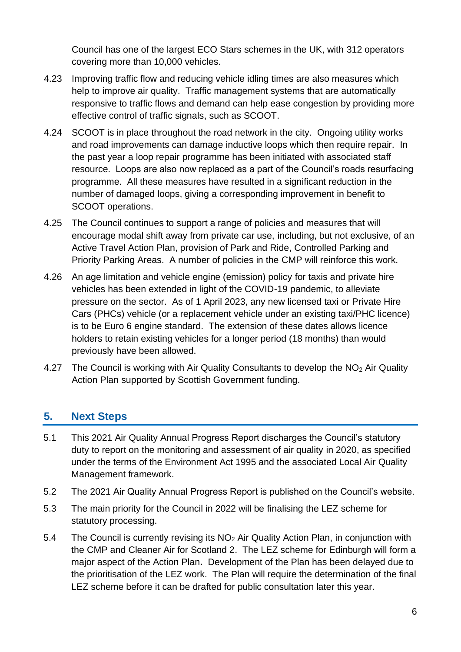Council has one of the largest ECO Stars schemes in the UK, with 312 operators covering more than 10,000 vehicles.

- 4.23 Improving traffic flow and reducing vehicle idling times are also measures which help to improve air quality. Traffic management systems that are automatically responsive to traffic flows and demand can help ease congestion by providing more effective control of traffic signals, such as SCOOT.
- 4.24 SCOOT is in place throughout the road network in the city. Ongoing utility works and road improvements can damage inductive loops which then require repair. In the past year a loop repair programme has been initiated with associated staff resource. Loops are also now replaced as a part of the Council's roads resurfacing programme. All these measures have resulted in a significant reduction in the number of damaged loops, giving a corresponding improvement in benefit to SCOOT operations.
- 4.25 The Council continues to support a range of policies and measures that will encourage modal shift away from private car use, including, but not exclusive, of an Active Travel Action Plan, provision of Park and Ride, Controlled Parking and Priority Parking Areas. A number of policies in the CMP will reinforce this work.
- 4.26 An age limitation and vehicle engine (emission) policy for taxis and private hire vehicles has been extended in light of the COVID-19 pandemic, to alleviate pressure on the sector. As of 1 April 2023, any new licensed taxi or Private Hire Cars (PHCs) vehicle (or a replacement vehicle under an existing taxi/PHC licence) is to be Euro 6 engine standard. The extension of these dates allows licence holders to retain existing vehicles for a longer period (18 months) than would previously have been allowed.
- 4.27 The Council is working with Air Quality Consultants to develop the NO<sub>2</sub> Air Quality Action Plan supported by Scottish Government funding.

### **5. Next Steps**

- 5.1 This 2021 Air Quality Annual Progress Report discharges the Council's statutory duty to report on the monitoring and assessment of air quality in 2020, as specified under the terms of the Environment Act 1995 and the associated Local Air Quality Management framework.
- 5.2 The 2021 Air Quality Annual Progress Report is published on the Council's website.
- 5.3 The main priority for the Council in 2022 will be finalising the LEZ scheme for statutory processing.
- 5.4 The Council is currently revising its NO<sup>2</sup> Air Quality Action Plan, in conjunction with the CMP and Cleaner Air for Scotland 2. The LEZ scheme for Edinburgh will form a major aspect of the Action Plan**.** Development of the Plan has been delayed due to the prioritisation of the LEZ work. The Plan will require the determination of the final LEZ scheme before it can be drafted for public consultation later this year.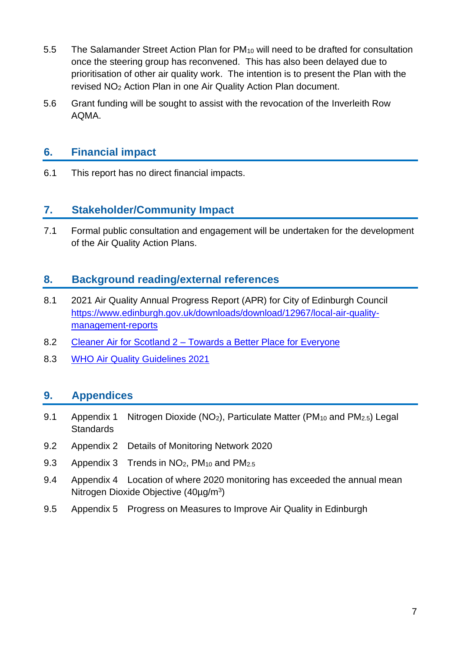- 5.5 The Salamander Street Action Plan for PM<sup>10</sup> will need to be drafted for consultation once the steering group has reconvened. This has also been delayed due to prioritisation of other air quality work. The intention is to present the Plan with the revised NO<sup>2</sup> Action Plan in one Air Quality Action Plan document.
- 5.6 Grant funding will be sought to assist with the revocation of the Inverleith Row AQMA.

#### **6. Financial impact**

6.1 This report has no direct financial impacts.

#### **7. Stakeholder/Community Impact**

7.1 Formal public consultation and engagement will be undertaken for the development of the Air Quality Action Plans.

#### **8. Background reading/external references**

- 8.1 2021 Air Quality Annual Progress Report (APR) for City of Edinburgh Council [https://www.edinburgh.gov.uk/downloads/download/12967/local-air-quality](https://www.edinburgh.gov.uk/downloads/download/12967/local-air-quality-management-reports)[management-reports](https://www.edinburgh.gov.uk/downloads/download/12967/local-air-quality-management-reports)
- 8.2 Cleaner Air for Scotland 2 [Towards a Better Place for Everyone](https://www.gov.scot/publications/cleaner-air-scotland-2-towards-better-place-everyone/)
- 8.3 WHO Air [Quality Guidelines 2021](https://apps.who.int/iris/bitstream/handle/10665/345329/9789240034228-eng.pdf?sequence=1&isAllowed=y)

#### **9. Appendices**

- 9.1 Appendix 1 Nitrogen Dioxide ( $NO<sub>2</sub>$ ), Particulate Matter ( $PM<sub>10</sub>$  and  $PM<sub>2.5</sub>$ ) Legal **Standards**
- 9.2 Appendix 2 Details of Monitoring Network 2020
- 9.3 Appendix 3 Trends in  $NO<sub>2</sub>$ , PM<sub>10</sub> and PM<sub>2.5</sub>
- 9.4 Appendix 4 Location of where 2020 monitoring has exceeded the annual mean Nitrogen Dioxide Objective (40µg/m<sup>3</sup>)
- 9.5 Appendix 5 Progress on Measures to Improve Air Quality in Edinburgh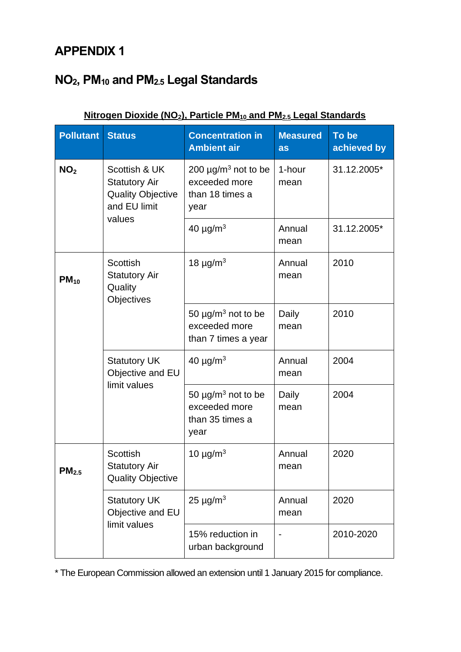# **NO2, PM<sup>10</sup> and PM2.5 Legal Standards**

| <b>Pollutant</b> | <b>Status</b>                                                                     | <b>Concentration in</b><br><b>Ambient air</b>                                    | <b>Measured</b><br>as | To be<br>achieved by |
|------------------|-----------------------------------------------------------------------------------|----------------------------------------------------------------------------------|-----------------------|----------------------|
| NO <sub>2</sub>  | Scottish & UK<br><b>Statutory Air</b><br><b>Quality Objective</b><br>and EU limit | 200 $\mu$ g/m <sup>3</sup> not to be<br>exceeded more<br>than 18 times a<br>year |                       | 31.12.2005*          |
|                  | values                                                                            | 40 $\mu$ g/m <sup>3</sup>                                                        | Annual<br>mean        | 31.12.2005*          |
| $PM_{10}$        | <b>Scottish</b><br><b>Statutory Air</b><br>Quality<br>Objectives                  | 18 $\mu$ g/m <sup>3</sup>                                                        | Annual<br>mean        | 2010                 |
|                  |                                                                                   | 50 $\mu$ g/m <sup>3</sup> not to be<br>exceeded more<br>than 7 times a year      | Daily<br>mean         | 2010                 |
|                  | <b>Statutory UK</b><br>Objective and EU                                           | 40 $\mu$ g/m <sup>3</sup>                                                        | Annual<br>mean        | 2004                 |
|                  | limit values                                                                      | 50 $\mu$ g/m <sup>3</sup> not to be<br>exceeded more<br>than 35 times a<br>year  | Daily<br>mean         | 2004                 |
| $PM_{2.5}$       | <b>Scottish</b><br><b>Statutory Air</b><br><b>Quality Objective</b>               | 10 $\mu$ g/m <sup>3</sup>                                                        | Annual<br>mean        | 2020                 |
|                  | <b>Statutory UK</b><br>Objective and EU                                           | 25 $\mu$ g/m <sup>3</sup>                                                        | Annual<br>mean        | 2020                 |
|                  | limit values                                                                      | 15% reduction in<br>urban background                                             |                       | 2010-2020            |

#### **Nitrogen Dioxide (NO2), Particle PM<sup>10</sup> and PM2.5 Legal Standards**

\* The European Commission allowed an extension until 1 January 2015 for compliance.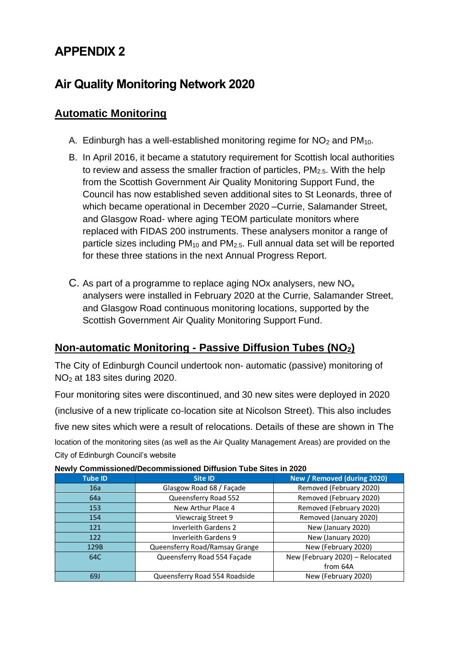### **Air Quality Monitoring Network 2020**

### **Automatic Monitoring**

- A. Edinburgh has a well-established monitoring regime for  $NO<sub>2</sub>$  and  $PM<sub>10</sub>$ .
- B. In April 2016, it became a statutory requirement for Scottish local authorities to review and assess the smaller fraction of particles,  $PM_{2.5}$ . With the help from the Scottish Government Air Quality Monitoring Support Fund, the Council has now established seven additional sites to St Leonards, three of which became operational in December 2020 –Currie, Salamander Street, and Glasgow Road- where aging TEOM particulate monitors where replaced with FIDAS 200 instruments. These analysers monitor a range of particle sizes including  $PM_{10}$  and  $PM_{2.5}$ . Full annual data set will be reported for these three stations in the next Annual Progress Report.
- C. As part of a programme to replace aging NOx analysers, new  $NO<sub>x</sub>$ analysers were installed in February 2020 at the Currie, Salamander Street, and Glasgow Road continuous monitoring locations, supported by the Scottish Government Air Quality Monitoring Support Fund.

### **Non-automatic Monitoring - Passive Diffusion Tubes (NO2)**

The City of Edinburgh Council undertook non- automatic (passive) monitoring of NO<sup>2</sup> at 183 sites during 2020.

Four monitoring sites were discontinued, and 30 new sites were deployed in 2020 (inclusive of a new triplicate co-location site at Nicolson Street). This also includes five new sites which were a result of relocations. Details of these are shown in [The](#page-9-0) location [of the monitoring sites \(as well as the Air Quality Management Areas\) are provided](#page-9-0) on the [City of Edinburgh Council's website](#page-9-0) 

| <b>Tube ID</b> | <b>Site ID</b>                 | New / Removed (during 2020)     |
|----------------|--------------------------------|---------------------------------|
| 16a            | Glasgow Road 68 / Façade       | Removed (February 2020)         |
| 64a            | Queensferry Road 552           | Removed (February 2020)         |
| 153            | New Arthur Place 4             | Removed (February 2020)         |
| 154            | Viewcraig Street 9             | Removed (January 2020)          |
| 121            | <b>Inverleith Gardens 2</b>    | New (January 2020)              |
| 122            | Inverleith Gardens 9           | New (January 2020)              |
| 129B           | Queensferry Road/Ramsay Grange | New (February 2020)             |
| 64C            | Queensferry Road 554 Façade    | New (February 2020) - Relocated |
|                |                                | from 64A                        |
| 69J            | Queensferry Road 554 Roadside  | New (February 2020)             |

**[Newly Commissioned/Decommissioned](#page-9-0) Diffusion Tube Sites in 2020**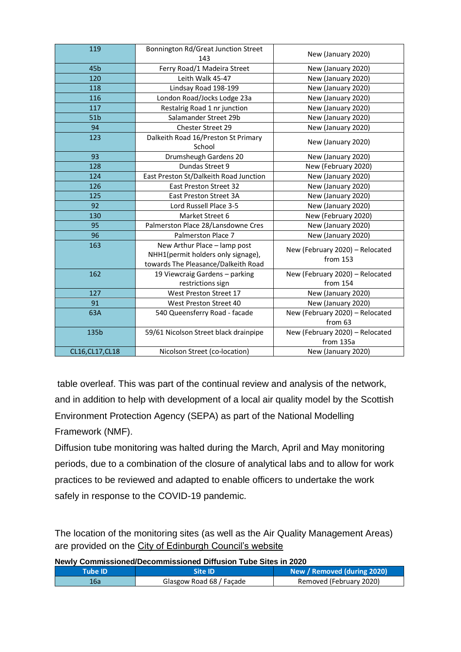| 119              | Bonnington Rd/Great Junction Street<br>143                                                                | New (January 2020)                           |
|------------------|-----------------------------------------------------------------------------------------------------------|----------------------------------------------|
| 45 <sub>b</sub>  | Ferry Road/1 Madeira Street                                                                               | New (January 2020)                           |
| 120              | Leith Walk 45-47                                                                                          | New (January 2020)                           |
| 118              | Lindsay Road 198-199                                                                                      | New (January 2020)                           |
| 116              | London Road/Jocks Lodge 23a                                                                               | New (January 2020)                           |
| 117              | Restalrig Road 1 nr junction                                                                              | New (January 2020)                           |
| 51 <sub>b</sub>  | Salamander Street 29b                                                                                     | New (January 2020)                           |
| 94               | Chester Street 29                                                                                         | New (January 2020)                           |
| 123              | Dalkeith Road 16/Preston St Primary<br>School                                                             | New (January 2020)                           |
| 93               | Drumsheugh Gardens 20                                                                                     | New (January 2020)                           |
| 128              | Dundas Street 9                                                                                           | New (February 2020)                          |
| 124              | East Preston St/Dalkeith Road Junction                                                                    | New (January 2020)                           |
| 126              | <b>East Preston Street 32</b>                                                                             | New (January 2020)                           |
| 125              | <b>East Preston Street 3A</b>                                                                             | New (January 2020)                           |
| 92               | Lord Russell Place 3-5                                                                                    | New (January 2020)                           |
| 130              | Market Street 6                                                                                           | New (February 2020)                          |
| 95               | Palmerston Place 28/Lansdowne Cres                                                                        | New (January 2020)                           |
| 96               | Palmerston Place 7                                                                                        | New (January 2020)                           |
| 163              | New Arthur Place - lamp post<br>NHH1(permit holders only signage),<br>towards The Pleasance/Dalkeith Road | New (February 2020) - Relocated<br>from 153  |
| 162              | 19 Viewcraig Gardens - parking<br>restrictions sign                                                       | New (February 2020) - Relocated<br>from 154  |
| 127              | West Preston Street 17                                                                                    | New (January 2020)                           |
| 91               | West Preston Street 40                                                                                    | New (January 2020)                           |
| 63A              | 540 Queensferry Road - facade                                                                             | New (February 2020) - Relocated<br>from 63   |
| 135b             | 59/61 Nicolson Street black drainpipe                                                                     | New (February 2020) - Relocated<br>from 135a |
| CL16, CL17, CL18 | Nicolson Street (co-location)                                                                             | New (January 2020)                           |

table overleaf. This was part of the continual review and analysis of the network, and in addition to help with development of a local air quality model by the Scottish Environment Protection Agency (SEPA) as part of the National Modelling Framework (NMF).

Diffusion tube monitoring was halted during the March, April and May monitoring periods, due to a combination of the closure of analytical labs and to allow for work practices to be reviewed and adapted to enable officers to undertake the work safely in response to the COVID-19 pandemic.

<span id="page-9-0"></span>The location of the monitoring sites (as well as the Air Quality Management Areas) are provided on the City of Edinburgh Council's website

**Newly Commissioned/Decommissioned Diffusion Tube Sites in 2020**

| Tube ID' |                          | New / Removed (during 2020) |
|----------|--------------------------|-----------------------------|
| 16a      | Glasgow Road 68 / Façade | Removed (February 2020)     |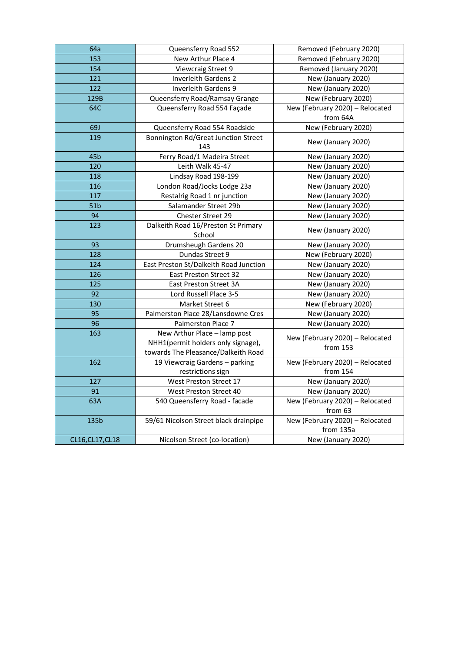| 64a              | Queensferry Road 552                          | Removed (February 2020)         |
|------------------|-----------------------------------------------|---------------------------------|
| 153              | New Arthur Place 4                            | Removed (February 2020)         |
| 154              | Viewcraig Street 9                            | Removed (January 2020)          |
| 121              | Inverleith Gardens 2                          | New (January 2020)              |
| 122              | <b>Inverleith Gardens 9</b>                   | New (January 2020)              |
| 129B             | Queensferry Road/Ramsay Grange                | New (February 2020)             |
| 64C              | Queensferry Road 554 Façade                   | New (February 2020) - Relocated |
|                  |                                               | from 64A                        |
| <b>69J</b>       | Queensferry Road 554 Roadside                 | New (February 2020)             |
| 119              | Bonnington Rd/Great Junction Street           | New (January 2020)              |
|                  | 143                                           |                                 |
| 45 <sub>b</sub>  | Ferry Road/1 Madeira Street                   | New (January 2020)              |
| 120              | Leith Walk 45-47                              | New (January 2020)              |
| 118              | Lindsay Road 198-199                          | New (January 2020)              |
| 116              | London Road/Jocks Lodge 23a                   | New (January 2020)              |
| 117              | Restalrig Road 1 nr junction                  | New (January 2020)              |
| 51 <sub>b</sub>  | Salamander Street 29b                         | New (January 2020)              |
| 94               | Chester Street 29                             | New (January 2020)              |
| 123              | Dalkeith Road 16/Preston St Primary<br>School | New (January 2020)              |
| 93               | Drumsheugh Gardens 20                         | New (January 2020)              |
| 128              | Dundas Street 9                               | New (February 2020)             |
| 124              | East Preston St/Dalkeith Road Junction        |                                 |
|                  |                                               | New (January 2020)              |
| 126              | East Preston Street 32                        | New (January 2020)              |
| 125              | East Preston Street 3A                        | New (January 2020)              |
| 92               | Lord Russell Place 3-5                        | New (January 2020)              |
| 130              | Market Street 6                               | New (February 2020)             |
| 95               | Palmerston Place 28/Lansdowne Cres            | New (January 2020)              |
| 96               | Palmerston Place 7                            | New (January 2020)              |
| 163              | New Arthur Place - lamp post                  | New (February 2020) - Relocated |
|                  | NHH1(permit holders only signage),            | from 153                        |
|                  | towards The Pleasance/Dalkeith Road           |                                 |
| 162              | 19 Viewcraig Gardens - parking                | New (February 2020) - Relocated |
|                  | restrictions sign                             | from 154                        |
| 127              | West Preston Street 17                        | New (January 2020)              |
| 91               | West Preston Street 40                        | New (January 2020)              |
| 63A              | 540 Queensferry Road - facade                 | New (February 2020) - Relocated |
|                  |                                               | from 63                         |
| 135b             | 59/61 Nicolson Street black drainpipe         | New (February 2020) - Relocated |
|                  |                                               | from 135a                       |
| CL16, CL17, CL18 | Nicolson Street (co-location)                 | New (January 2020)              |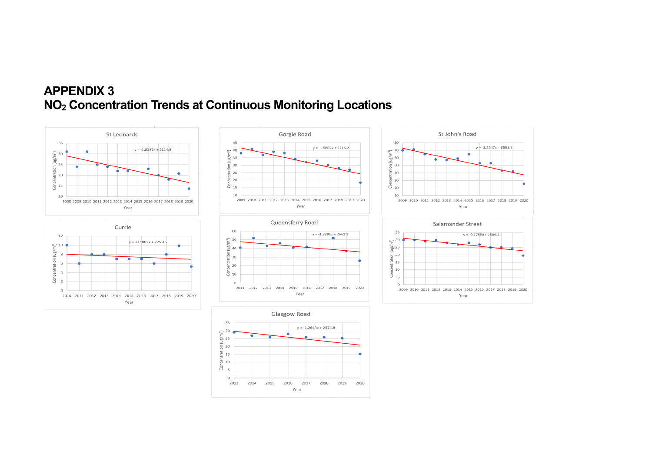### **APPENDIX 3 NO<sup>2</sup> Concentration Trends at Continuous Monitoring Locations**



 $y = -3.2247x + 6551.3$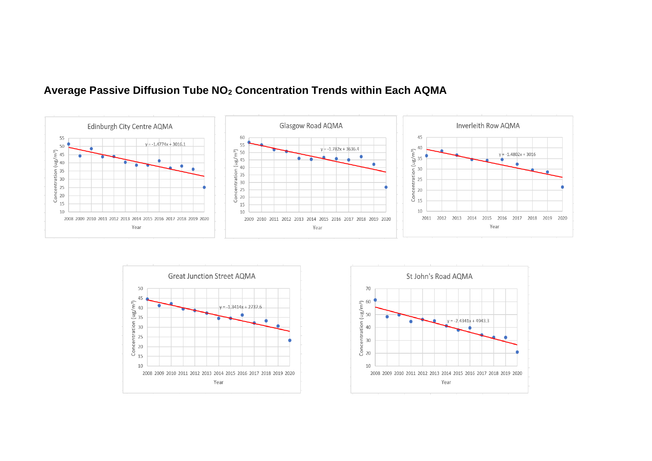

#### **Average Passive Diffusion Tube NO<sup>2</sup> Concentration Trends within Each AQMA**



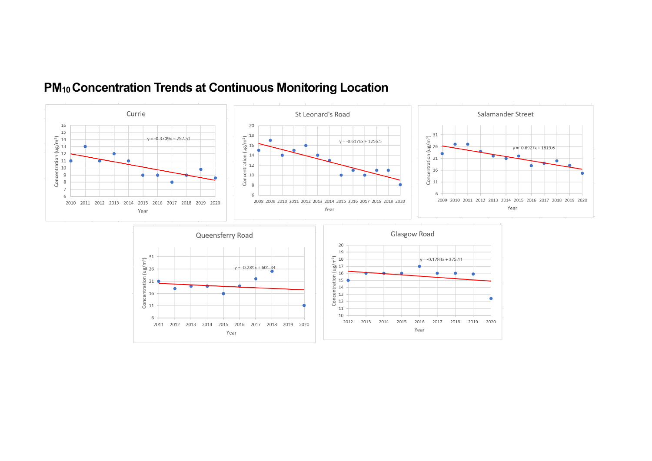

### **PM10 Concentration Trends at Continuous Monitoring Location**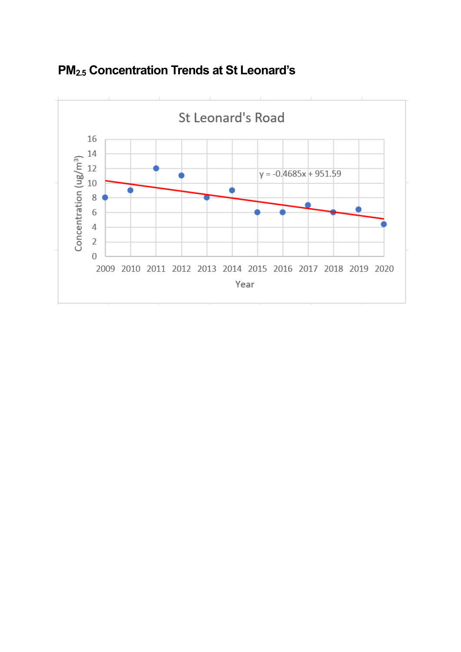

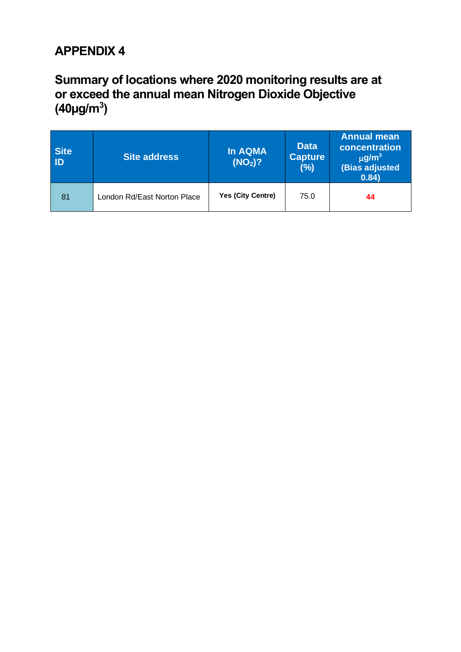### **Summary of locations where 2020 monitoring results are at or exceed the annual mean Nitrogen Dioxide Objective (40µg/m<sup>3</sup> )**

| <b>Site</b><br><b>ID</b> | <b>Site address</b>         | In AQMA<br>$(NO2)$ ? | <b>Data</b><br><b>Capture</b><br>(%) | <b>Annual mean</b><br>concentration<br>$\mu$ g/m <sup>3</sup><br>(Bias adjusted<br>0.84) |
|--------------------------|-----------------------------|----------------------|--------------------------------------|------------------------------------------------------------------------------------------|
| 81                       | London Rd/East Norton Place | Yes (City Centre)    | 75.0                                 | 44                                                                                       |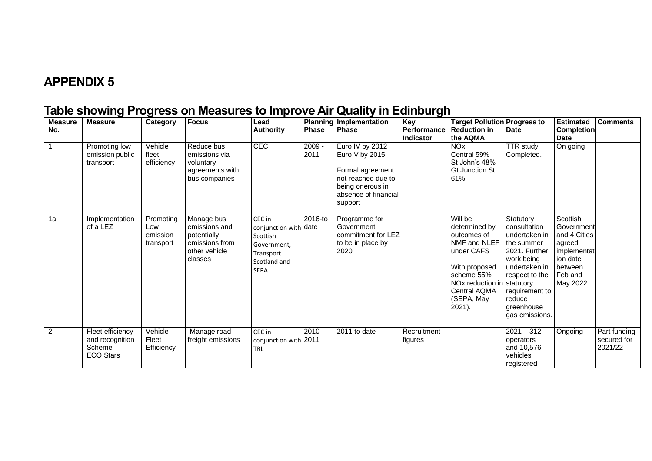### **Table showing Progress on Measures to Improve Air Quality in Edinburgh**

| <b>Measure</b><br>No. | <b>Measure</b>                                                    | Category                                  | <b>Focus</b>                                                                             | Lead<br><b>Authority</b>                                                                               | <b>Phase</b>     | Planning Implementation<br>Phase                                                                                                   | Key<br>Performance<br><b>Indicator</b> | <b>Target Pollution Progress to</b><br><b>Reduction in</b><br>the AQMA                                                                                                                         | Date                                                                                                                                                                                   | <b>Estimated</b><br><b>Completion</b><br><b>Date</b>                                                           | <b>Comments</b>                        |
|-----------------------|-------------------------------------------------------------------|-------------------------------------------|------------------------------------------------------------------------------------------|--------------------------------------------------------------------------------------------------------|------------------|------------------------------------------------------------------------------------------------------------------------------------|----------------------------------------|------------------------------------------------------------------------------------------------------------------------------------------------------------------------------------------------|----------------------------------------------------------------------------------------------------------------------------------------------------------------------------------------|----------------------------------------------------------------------------------------------------------------|----------------------------------------|
|                       | Promoting low<br>emission public<br>transport                     | Vehicle<br>fleet<br>efficiency            | Reduce bus<br>emissions via<br>voluntary<br>agreements with<br>bus companies             | CEC                                                                                                    | $2009 -$<br>2011 | Euro IV by 2012<br>Euro V by 2015<br>Formal agreement<br>not reached due to<br>being onerous in<br>absence of financial<br>support |                                        | <b>NO<sub>x</sub></b><br>Central 59%<br>St John's 48%<br><b>Gt Junction St</b><br>61%                                                                                                          | <b>TTR</b> study<br>Completed.                                                                                                                                                         | On going                                                                                                       |                                        |
| 1a                    | Implementation<br>of a LEZ                                        | Promoting<br>Low<br>emission<br>transport | Manage bus<br>emissions and<br>potentially<br>emissions from<br>other vehicle<br>classes | CEC in<br>conjunction with date<br>Scottish<br>Government,<br>Transport<br>Scotland and<br><b>SEPA</b> | 2016-to          | Programme for<br>Government<br>commitment for LEZ<br>to be in place by<br>2020                                                     |                                        | $\overline{\text{Will}}$ be<br>determined by<br>outcomes of<br>NMF and NLEF<br>under CAFS<br>With proposed<br>scheme 55%<br>NOx reduction in statutory<br>Central AQMA<br>(SEPA, May<br>2021). | Statutory<br>consultation<br>undertaken in<br>the summer<br>2021. Further<br>work being<br>undertaken in<br>respect to the<br>requirement to<br>reduce<br>greenhouse<br>gas emissions. | Scottish<br>Government<br>and 4 Cities<br>agreed<br>implementat<br>ion date<br>between<br>Feb and<br>May 2022. |                                        |
| $\overline{2}$        | Fleet efficiency<br>and recognition<br>Scheme<br><b>ECO Stars</b> | Vehicle<br>Fleet<br>Efficiency            | Manage road<br>freight emissions                                                         | CEC in<br>conjunction with 2011<br><b>TRL</b>                                                          | 2010-            | 2011 to date                                                                                                                       | Recruitment<br>figures                 |                                                                                                                                                                                                | $2021 - 312$<br>operators<br>and 10,576<br>vehicles<br>registered                                                                                                                      | Ongoing                                                                                                        | Part funding<br>secured for<br>2021/22 |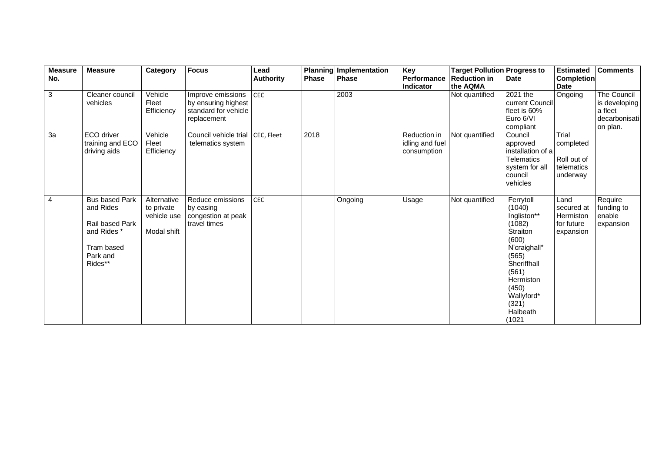| <b>Measure</b><br>No. | <b>Measure</b>                                                                                            | Category                                                | <b>Focus</b>                                                                    | Lead<br><b>Authority</b> | <b>Phase</b> | Planning Implementation<br>Phase | Key<br>Performance                             | <b>Target Pollution Progress to</b><br><b>Reduction in</b> | <b>Date</b>                                                                                                                                                                           | <b>Estimated</b><br><b>Completion</b>                       | <b>Comments</b>                                                      |
|-----------------------|-----------------------------------------------------------------------------------------------------------|---------------------------------------------------------|---------------------------------------------------------------------------------|--------------------------|--------------|----------------------------------|------------------------------------------------|------------------------------------------------------------|---------------------------------------------------------------------------------------------------------------------------------------------------------------------------------------|-------------------------------------------------------------|----------------------------------------------------------------------|
|                       |                                                                                                           |                                                         |                                                                                 |                          |              |                                  | Indicator                                      | the AQMA                                                   |                                                                                                                                                                                       | <b>Date</b>                                                 |                                                                      |
| 3                     | Cleaner council<br>vehicles                                                                               | Vehicle<br>Fleet<br>Efficiency                          | Improve emissions<br>by ensuring highest<br>standard for vehicle<br>replacement | <b>CEC</b>               |              | 2003                             |                                                | Not quantified                                             | $\overline{2021}$ the<br>current Council<br>fleet is 60%<br>Euro 6/VI<br>compliant                                                                                                    | Ongoing                                                     | The Council<br>is developing<br>a fleet<br>decarbonisati<br>on plan. |
| 3a                    | ECO driver<br>training and ECO<br>driving aids                                                            | Vehicle<br>Fleet<br>Efficiency                          | Council vehicle trial   CEC, Fleet<br>telematics system                         |                          | 2018         |                                  | Reduction in<br>idling and fuel<br>consumption | Not quantified                                             | Council<br>approved<br>installation of a<br><b>Telematics</b><br>system for all<br>council<br>vehicles                                                                                | Trial<br>completed<br>Roll out of<br>telematics<br>underway |                                                                      |
| 4                     | <b>Bus based Park</b><br>and Rides<br>Rail based Park<br>and Rides *<br>Tram based<br>Park and<br>Rides** | Alternative<br>to private<br>vehicle use<br>Modal shift | Reduce emissions<br>by easing<br>congestion at peak<br>travel times             | CEC                      |              | Ongoing                          | Usage                                          | Not quantified                                             | Ferrytoll<br>(1040)<br>Ingliston**<br>(1082)<br>Straiton<br>(600)<br>N'craighall*<br>(565)<br>Sheriffhall<br>(561)<br>Hermiston<br>(450)<br>Wallyford*<br>(321)<br>Halbeath<br>(1021) | Land<br>secured at<br>Hermiston<br>for future<br>expansion  | Require<br>funding to<br>enable<br>expansion                         |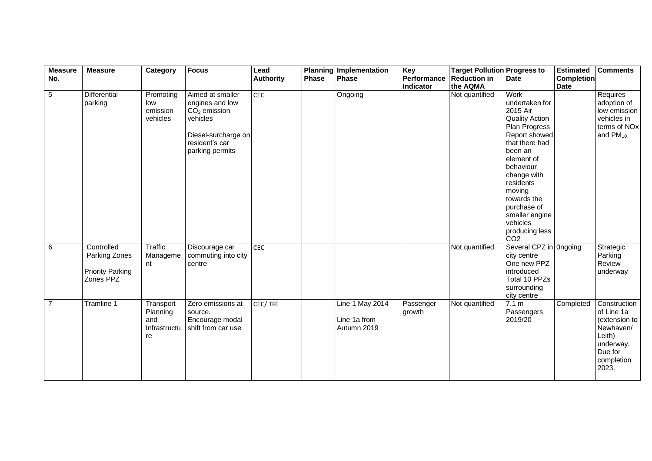| <b>Measure</b> | <b>Measure</b>                                                      | Category                                           | <b>Focus</b>                                                                                                                  | Lead             |       | Planning Implementation                        | Key                 | <b>Target Pollution Progress to</b> |                                                                                                                                                                                                                                                                                              | <b>Estimated</b>  | <b>Comments</b>                                                                                                   |
|----------------|---------------------------------------------------------------------|----------------------------------------------------|-------------------------------------------------------------------------------------------------------------------------------|------------------|-------|------------------------------------------------|---------------------|-------------------------------------|----------------------------------------------------------------------------------------------------------------------------------------------------------------------------------------------------------------------------------------------------------------------------------------------|-------------------|-------------------------------------------------------------------------------------------------------------------|
| No.            |                                                                     |                                                    |                                                                                                                               | <b>Authority</b> | Phase | <b>Phase</b>                                   | Performance         | <b>Reduction in</b>                 | <b>Date</b>                                                                                                                                                                                                                                                                                  | <b>Completion</b> |                                                                                                                   |
|                |                                                                     |                                                    |                                                                                                                               |                  |       |                                                | Indicator           | the AQMA                            |                                                                                                                                                                                                                                                                                              | <b>Date</b>       |                                                                                                                   |
| $\overline{5}$ | <b>Differential</b><br>parking                                      | Promoting<br>low<br>emission<br>vehicles           | Aimed at smaller<br>engines and low<br>$CO2$ emission<br>vehicles<br>Diesel-surcharge on<br>resident's car<br>parking permits | CEC              |       | Ongoing                                        |                     | Not quantified                      | Work<br>undertaken for<br>2015 Air<br><b>Quality Action</b><br>Plan Progress<br>Report showed<br>that there had<br>been an<br>element of<br>behaviour<br>change with<br>residents<br>moving<br>towards the<br>purchase of<br>smaller engine<br>vehicles<br>producing less<br>CO <sub>2</sub> |                   | Requires<br>adoption of<br>low emission<br>vehicles in<br>terms of NO <sub>x</sub><br>and $PM_{10}$               |
| 6              | Controlled<br>Parking Zones<br><b>Priority Parking</b><br>Zones PPZ | <b>Traffic</b><br>Manageme<br>nt                   | Discourage car<br>commuting into city<br>centre                                                                               | <b>CEC</b>       |       |                                                |                     | Not quantified                      | Several CPZ in Ongoing<br>city centre<br>One new PPZ<br>introduced<br>Total 10 PPZs<br>surrounding<br>city centre                                                                                                                                                                            |                   | Strategic<br>Parking<br>Review<br>underway                                                                        |
| $\overline{7}$ | Tramline 1                                                          | Transport<br>Planning<br>and<br>Infrastructu<br>re | Zero emissions at<br>source.<br>Encourage modal<br>shift from car use                                                         | CEC/TFE          |       | Line 1 May 2014<br>Line 1a from<br>Autumn 2019 | Passenger<br>growth | Not quantified                      | 7.1 m<br>Passengers<br>2019/20                                                                                                                                                                                                                                                               | Completed         | Construction<br>of Line 1a<br>(extension to<br>Newhaven/<br>Leith)<br>underway.<br>Due for<br>completion<br>2023. |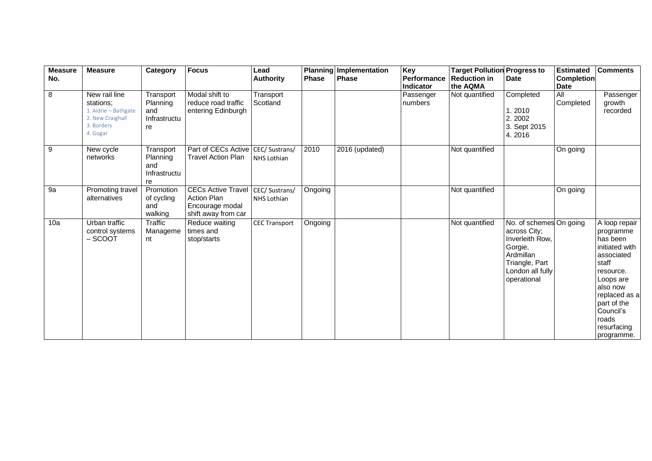| <b>Measure</b><br>No. | <b>Measure</b>                                                                                   | Category                                           | <b>Focus</b>                                                                                 | Lead<br><b>Authority</b> | <b>Phase</b> | Planning Implementation<br><b>Phase</b> | Key<br>Performance                | <b>Target Pollution Progress to</b><br><b>Reduction in</b><br>the AQMA | <b>Date</b>                                                                                                                             | <b>Estimated</b><br><b>Completion</b>        | <b>Comments</b>                                                                                                                                                                                          |
|-----------------------|--------------------------------------------------------------------------------------------------|----------------------------------------------------|----------------------------------------------------------------------------------------------|--------------------------|--------------|-----------------------------------------|-----------------------------------|------------------------------------------------------------------------|-----------------------------------------------------------------------------------------------------------------------------------------|----------------------------------------------|----------------------------------------------------------------------------------------------------------------------------------------------------------------------------------------------------------|
| 8                     | New rail line<br>stations:<br>1. Aidrie - Bathgate<br>2. New Craighall<br>3. Borders<br>4. Gogar | Transport<br>Planning<br>and<br>Infrastructu<br>re | Modal shift to<br>reduce road traffic<br>entering Edinburgh                                  | Transport<br>Scotland    |              |                                         | Indicator<br>Passenger<br>numbers | Not quantified                                                         | Completed<br>1.2010<br>2.2002<br>3. Sept 2015<br>4.2016                                                                                 | <b>Date</b><br>$\overline{All}$<br>Completed | Passenger<br>growth<br>recorded                                                                                                                                                                          |
| 9                     | New cycle<br>networks                                                                            | Transport<br>Planning<br>and<br>Infrastructu<br>re | Part of CECs Active CEC/ Sustrans/<br>Travel Action Plan                                     | NHS Lothian              | 2010         | 2016 (updated)                          |                                   | Not quantified                                                         |                                                                                                                                         | On going                                     |                                                                                                                                                                                                          |
| 9a                    | Promoting travel<br>alternatives                                                                 | Promotion<br>of cycling<br>and<br>walking          | CECs Active Travel   CEC/ Sustrans/<br>Action Plan<br>Encourage modal<br>shift away from car | <b>NHS Lothian</b>       | Ongoing      |                                         |                                   | Not quantified                                                         |                                                                                                                                         | On going                                     |                                                                                                                                                                                                          |
| 10a                   | Urban traffic<br>control systems<br>$-$ SCOOT                                                    | Traffic<br>Manageme<br>nt                          | Reduce waiting<br>times and<br>stop/starts                                                   | <b>CEC Transport</b>     | Ongoing      |                                         |                                   | Not quantified                                                         | No. of schemes On going<br>across City;<br>Inverleith Row.<br>Gorgie,<br>Ardmillan<br>Triangle, Part<br>London all fully<br>operational |                                              | A loop repair<br>programme<br>has been<br>initiated with<br>associated<br>staff<br>resource.<br>Loops are<br>also now<br>replaced as a<br>part of the<br>Council's<br>roads<br>resurfacing<br>programme. |